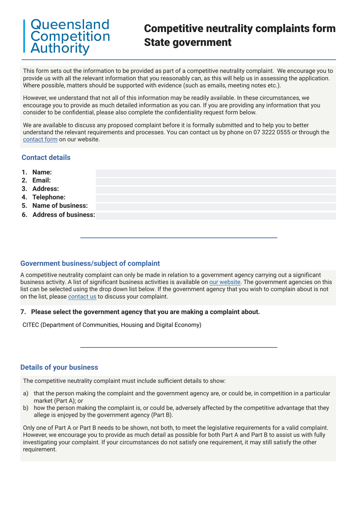# Queensland **Competition Authority**

# Competitive neutrality complaints form State government

This form sets out the information to be provided as part of a competitive neutrality complaint. We encourage you to provide us with all the relevant information that you reasonably can, as this will help us in assessing the application. Where possible, matters should be supported with evidence (such as emails, meeting notes etc.).

However, we understand that not all of this information may be readily available. In these circumstances, we encourage you to provide as much detailed information as you can. If you are providing any information that you consider to be confidential, please also complete the confidentiality request form below.

We are available to discuss any proposed complaint before it is formally submitted and to help you to better understand the relevant requirements and processes. You can contact us by phone on 07 3222 0555 or through the [contact form](https://www.qca.org.au/contact/) on our website.

### **Contact details**

- **1. Name:**
- **2. Email:**
- **3. Address:**
- **4. Telephone:**
- **5. Name of business:**
- **6. Address of business:**

### **Government business/subject of complaint**

A competitive neutrality complaint can only be made in relation to a government agency carrying out a significant business activity. A list of significant business activities is available on [our website.](https://www.qca.org.au/project/competitive-neutrality/) The government agencies on this list can be selected using the drop down list below. If the government agency that you wish to complain about is not on the list, please [contact us](https://www.qca.org.au/contact/) to discuss your complaint.

#### **7. Please select the government agency that you are making a complaint about.**

CITEC (Department of Communities, Housing and Digital Economy)

## **Details of your business**

The competitive neutrality complaint must include sufficient details to show:

- a) that the person making the complaint and the government agency are, or could be, in competition in a particular market (Part A); or
- b) how the person making the complaint is, or could be, adversely affected by the competitive advantage that they allege is enjoyed by the government agency (Part B).

Only one of Part A or Part B needs to be shown, not both, to meet the legislative requirements for a valid complaint. However, we encourage you to provide as much detail as possible for both Part A and Part B to assist us with fully investigating your complaint. If your circumstances do not satisfy one requirement, it may still satisfy the other requirement.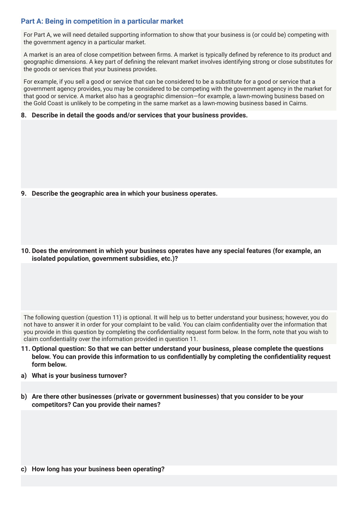### **Part A: Being in competition in a particular market**

For Part A, we will need detailed supporting information to show that your business is (or could be) competing with the government agency in a particular market.

A market is an area of close competition between firms. A market is typically defined by reference to its product and geographic dimensions. A key part of defining the relevant market involves identifying strong or close substitutes for the goods or services that your business provides.

For example, if you sell a good or service that can be considered to be a substitute for a good or service that a government agency provides, you may be considered to be competing with the government agency in the market for that good or service. A market also has a geographic dimension—for example, a lawn-mowing business based on the Gold Coast is unlikely to be competing in the same market as a lawn-mowing business based in Cairns.

**8. Describe in detail the goods and/or services that your business provides.**

- **9. Describe the geographic area in which your business operates.**
- **10. Does the environment in which your business operates have any special features (for example, an isolated population, government subsidies, etc.)?**

The following question (question 11) is optional. It will help us to better understand your business; however, you do not have to answer it in order for your complaint to be valid. You can claim confidentiality over the information that you provide in this question by completing the confidentiality request form below. In the form, note that you wish to claim confidentiality over the information provided in question 11.

- **11. Optional question: So that we can better understand your business, please complete the questions below. You can provide this information to us confidentially by completing the confidentiality request form below.**
- **a) What is your business turnover?**
- **b) Are there other businesses (private or government businesses) that you consider to be your competitors? Can you provide their names?**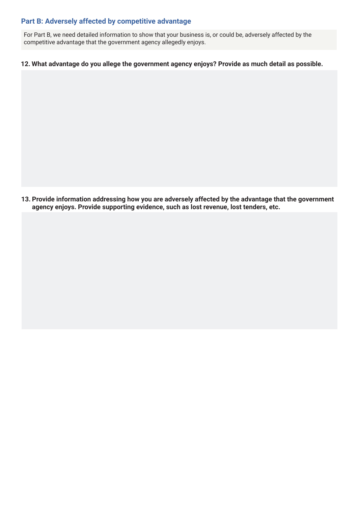## **Part B: Adversely affected by competitive advantage**

For Part B, we need detailed information to show that your business is, or could be, adversely affected by the competitive advantage that the government agency allegedly enjoys.

#### **12. What advantage do you allege the government agency enjoys? Provide as much detail as possible.**

**13. Provide information addressing how you are adversely affected by the advantage that the government agency enjoys. Provide supporting evidence, such as lost revenue, lost tenders, etc.**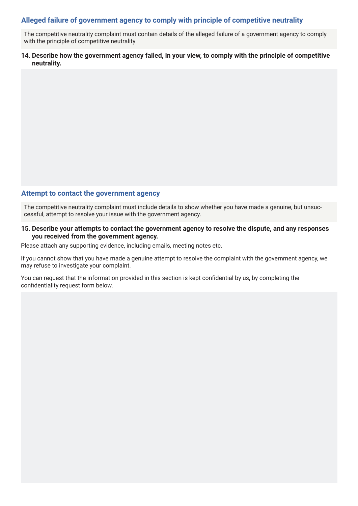## **Alleged failure of government agency to comply with principle of competitive neutrality**

The competitive neutrality complaint must contain details of the alleged failure of a government agency to comply with the principle of competitive neutrality

#### **14. Describe how the government agency failed, in your view, to comply with the principle of competitive neutrality.**

#### **Attempt to contact the government agency**

The competitive neutrality complaint must include details to show whether you have made a genuine, but unsuccessful, attempt to resolve your issue with the government agency.

#### **15. Describe your attempts to contact the government agency to resolve the dispute, and any responses you received from the government agency.**

Please attach any supporting evidence, including emails, meeting notes etc.

If you cannot show that you have made a genuine attempt to resolve the complaint with the government agency, we may refuse to investigate your complaint.

You can request that the information provided in this section is kept confidential by us, by completing the confidentiality request form below.